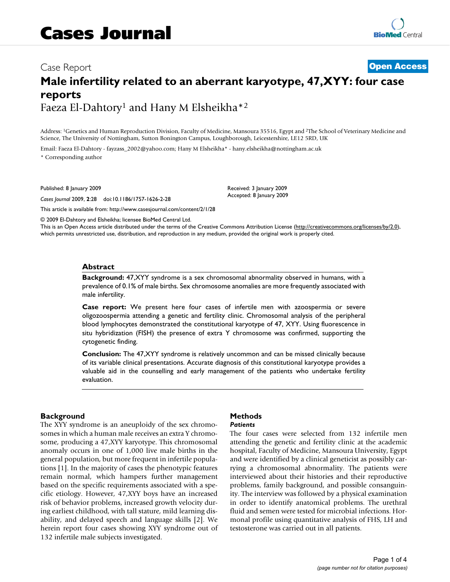# Case Report **[Open Access](http://www.biomedcentral.com/info/about/charter/) Male infertility related to an aberrant karyotype, 47,XYY: four case reports** Faeza El-Dahtory1 and Hany M Elsheikha\*2

Address: 1Genetics and Human Reproduction Division, Faculty of Medicine, Mansoura 35516, Egypt and 2The School of Veterinary Medicine and Science, The University of Nottingham, Sutton Bonington Campus, Loughborough, Leicestershire, LE12 5RD, UK

> Received: 3 January 2009 Accepted: 8 January 2009

Email: Faeza El-Dahtory - fayzass\_2002@yahoo.com; Hany M Elsheikha\* - hany.elsheikha@nottingham.ac.uk \* Corresponding author

Published: 8 January 2009

*Cases Journal* 2009, **2**:28 doi:10.1186/1757-1626-2-28

[This article is available from: http://www.casesjournal.com/content/2/1/28](http://www.casesjournal.com/content/2/1/28)

© 2009 El-Dahtory and Elsheikha; licensee BioMed Central Ltd.

This is an Open Access article distributed under the terms of the Creative Commons Attribution License [\(http://creativecommons.org/licenses/by/2.0\)](http://creativecommons.org/licenses/by/2.0), which permits unrestricted use, distribution, and reproduction in any medium, provided the original work is properly cited.

#### **Abstract**

**Background:** 47,XYY syndrome is a sex chromosomal abnormality observed in humans, with a prevalence of 0.1% of male births. Sex chromosome anomalies are more frequently associated with male infertility.

**Case report:** We present here four cases of infertile men with azoospermia or severe oligozoospermia attending a genetic and fertility clinic. Chromosomal analysis of the peripheral blood lymphocytes demonstrated the constitutional karyotype of 47, XYY. Using fluorescence in situ hybridization (FISH) the presence of extra Y chromosome was confirmed, supporting the cytogenetic finding.

**Conclusion:** The 47,XYY syndrome is relatively uncommon and can be missed clinically because of its variable clinical presentations. Accurate diagnosis of this constitutional karyotype provides a valuable aid in the counselling and early management of the patients who undertake fertility evaluation.

#### **Background**

The XYY syndrome is an aneuploidy of the sex chromosomes in which a human male receives an extra Y chromosome, producing a 47,XYY karyotype. This chromosomal anomaly occurs in one of 1,000 live male births in the general population, but more frequent in infertile populations [1]. In the majority of cases the phenotypic features remain normal, which hampers further management based on the specific requirements associated with a specific etiology. However, 47,XYY boys have an increased risk of behavior problems, increased growth velocity during earliest childhood, with tall stature, mild learning disability, and delayed speech and language skills [2]. We herein report four cases showing XYY syndrome out of 132 infertile male subjects investigated.

# **Methods**

#### *Patients*

The four cases were selected from 132 infertile men attending the genetic and fertility clinic at the academic hospital, Faculty of Medicine, Mansoura University, Egypt and were identified by a clinical geneticist as possibly carrying a chromosomal abnormality. The patients were interviewed about their histories and their reproductive problems, family background, and possible consanguinity. The interview was followed by a physical examination in order to identify anatomical problems. The urethral fluid and semen were tested for microbial infections. Hormonal profile using quantitative analysis of FHS, LH and testosterone was carried out in all patients.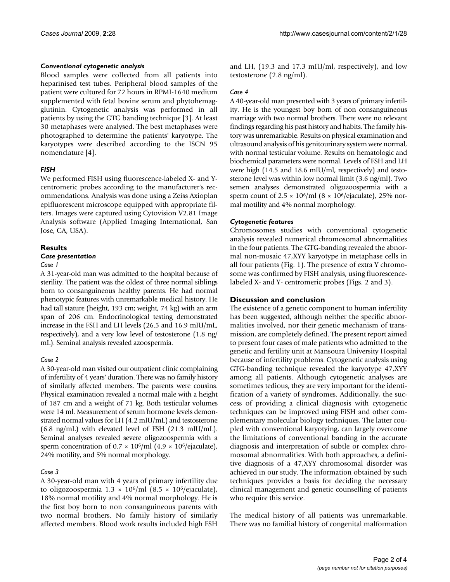#### *Conventional cytogenetic analysis*

Blood samples were collected from all patients into heparinised test tubes. Peripheral blood samples of the patient were cultured for 72 hours in RPMI-1640 medium supplemented with fetal bovine serum and phytohemagglutinin. Cytogenetic analysis was performed in all patients by using the GTG banding technique [3]. At least 30 metaphases were analysed. The best metaphases were photographed to determine the patients' karyotype. The karyotypes were described according to the ISCN 95 nomenclature [4].

#### *FISH*

We performed FISH using fluorescence-labeled X- and Ycentromeric probes according to the manufacturer's recommendations. Analysis was done using a Zeiss Axioplan epifluorescent microscope equipped with appropriate filters. Images were captured using Cytovision V2.81 Image Analysis software (Applied Imaging International, San Jose, CA, USA).

### **Results**

#### *Case presentation*

#### *Case 1*

A 31-year-old man was admitted to the hospital because of sterility. The patient was the oldest of three normal siblings born to consanguineous healthy parents. He had normal phenotypic features with unremarkable medical history. He had tall stature (height, 193 cm; weight, 74 kg) with an arm span of 206 cm. Endocrinological testing demonstrated increase in the FSH and LH levels (26.5 and 16.9 mIU/mL, respectively), and a very low level of testosterone (1.8 ng/ mL). Seminal analysis revealed azoospermia.

#### *Case 2*

A 30-year-old man visited our outpatient clinic complaining of infertility of 4 years' duration. There was no family history of similarly affected members. The parents were cousins. Physical examination revealed a normal male with a height of 187 cm and a weight of 71 kg. Both testicular volumes were 14 ml. Measurement of serum hormone levels demonstrated normal values for LH (4.2 mIU/mL) and testosterone (6.8 ng/mL) with elevated level of FSH (21.3 mIU/mL). Seminal analyses revealed severe oligozoospermia with a sperm concentration of  $0.7 \times 10^6$ /ml  $(4.9 \times 10^6)$ /ejaculate), 24% motility, and 5% normal morphology.

#### *Case 3*

A 30-year-old man with 4 years of primary infertility due to oligozoospermia  $1.3 \times 10^6/\text{ml}$  (8.5  $\times 10^6/\text{e}$ jaculate), 18% normal motility and 4% normal morphology. He is the first boy born to non consanguineous parents with two normal brothers. No family history of similarly affected members. Blood work results included high FSH and LH, (19.3 and 17.3 mIU/ml, respectively), and low testosterone (2.8 ng/ml).

#### *Case 4*

A 40-year-old man presented with 3 years of primary infertility. He is the youngest boy born of non consanguineous marriage with two normal brothers. There were no relevant findings regarding his past history and habits. The family history was unremarkable. Results on physical examination and ultrasound analysis of his genitourinary system were normal, with normal testicular volume. Results on hematologic and biochemical parameters were normal. Levels of FSH and LH were high (14.5 and 18.6 mIU/ml, respectively) and testosterone level was within low normal limit (3.6 ng/ml). Two semen analyses demonstrated oligozoospermia with a sperm count of  $2.5 \times 10^6$ /ml (8  $\times 10^6$ /ejaculate), 25% normal motility and 4% normal morphology.

### *Cytogenetic features*

Chromosomes studies with conventional cytogenetic analysis revealed numerical chromosomal abnormalities in the four patients. The GTG-banding revealed the abnormal non-mosaic 47,XYY karyotype in metaphase cells in all four patients (Fig. 1). The presence of extra Y chromosome was confirmed by FISH analysis, using fluorescencelabeled X- and Y- centromeric probes (Figs. 2 and 3).

#### **Discussion and conclusion**

The existence of a genetic component to human infertility has been suggested, although neither the specific abnormalities involved, nor their genetic mechanism of transmission, are completely defined. The present report aimed to present four cases of male patients who admitted to the genetic and fertility unit at Mansoura University Hospital because of infertility problems. Cytogenetic analysis using GTG-banding technique revealed the karyotype 47,XYY among all patients. Although cytogenetic analyses are sometimes tedious, they are very important for the identification of a variety of syndromes. Additionally, the success of providing a clinical diagnosis with cytogenetic techniques can be improved using FISH and other complementary molecular biology techniques. The latter coupled with conventional karyotying, can largely overcome the limitations of conventional banding in the accurate diagnosis and interpretation of subtle or complex chromosomal abnormalities. With both approaches, a definitive diagnosis of a 47,XYY chromosomal disorder was achieved in our study. The information obtained by such techniques provides a basis for deciding the necessary clinical management and genetic counselling of patients who require this service.

The medical history of all patients was unremarkable. There was no familial history of congenital malformation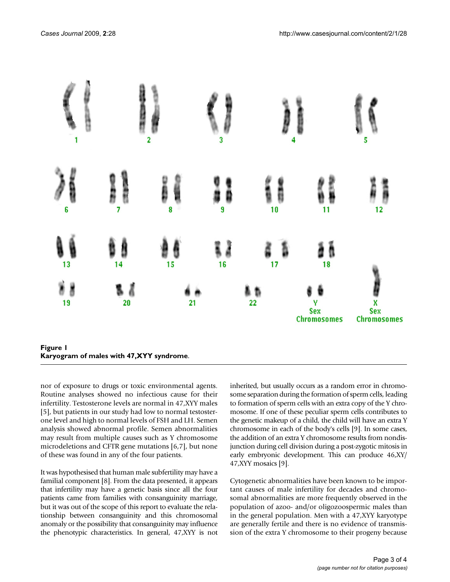

nor of exposure to drugs or toxic environmental agents. Routine analyses showed no infectious cause for their infertility. Testosterone levels are normal in 47,XYY males [5], but patients in our study had low to normal testosterone level and high to normal levels of FSH and LH. Semen analysis showed abnormal profile. Semen abnormalities may result from multiple causes such as Y chromosome microdeletions and CFTR gene mutations [6,7], but none of these was found in any of the four patients.

It was hypothesised that human male subfertility may have a familial component [8]. From the data presented, it appears that infertility may have a genetic basis since all the four patients came from families with consanguinity marriage, but it was out of the scope of this report to evaluate the relationship between consanguinity and this chromosomal anomaly or the possibility that consanguinity may influence the phenotypic characteristics. In general, 47,XYY is not inherited, but usually occurs as a random error in chromosome separation during the formation of sperm cells, leading to formation of sperm cells with an extra copy of the Y chromosome. If one of these peculiar sperm cells contributes to the genetic makeup of a child, the child will have an extra Y chromosome in each of the body's cells [9]. In some cases, the addition of an extra Y chromosome results from nondisjunction during cell division during a post-zygotic mitosis in early embryonic development. This can produce 46,XY/ 47,XYY mosaics [9].

Cytogenetic abnormalities have been known to be important causes of male infertility for decades and chromosomal abnormalities are more frequently observed in the population of azoo- and/or oligozoospermic males than in the general population. Men with a 47,XYY karyotype are generally fertile and there is no evidence of transmission of the extra Y chromosome to their progeny because